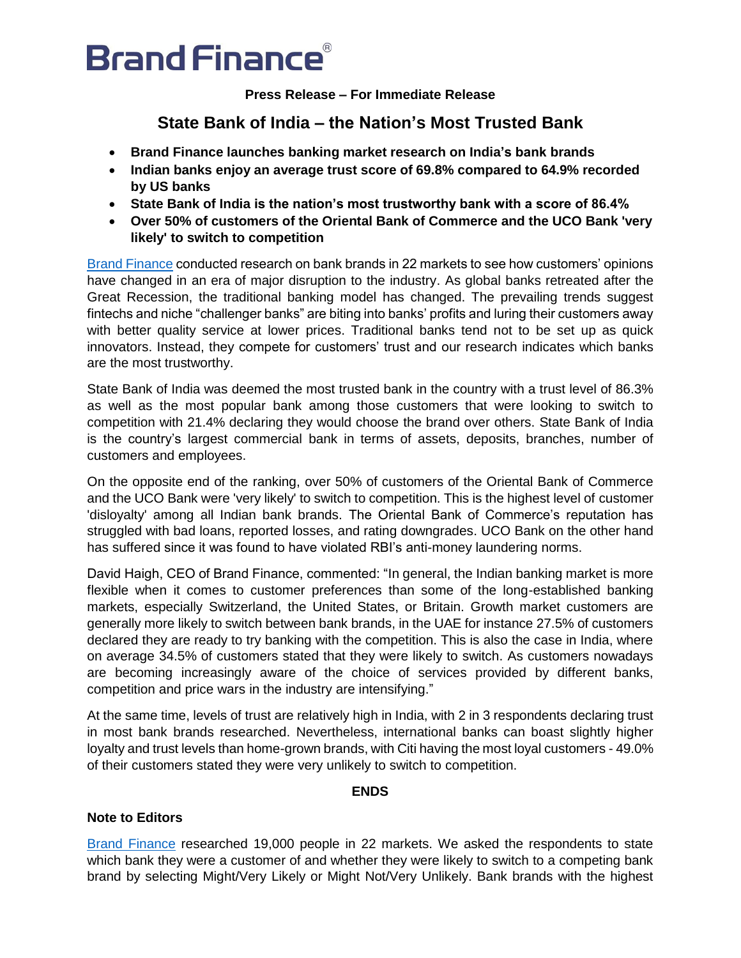# **Brand Finance**®

**Press Release – For Immediate Release**

# **State Bank of India – the Nation's Most Trusted Bank**

- **Brand Finance launches banking market research on India's bank brands**
- **Indian banks enjoy an average trust score of 69.8% compared to 64.9% recorded by US banks**
- **State Bank of India is the nation's most trustworthy bank with a score of 86.4%**
- **Over 50% of customers of the Oriental Bank of Commerce and the UCO Bank 'very likely' to switch to competition**

[Brand Finance](http://brandfinance.com/) conducted research on bank brands in 22 markets to see how customers' opinions have changed in an era of major disruption to the industry. As global banks retreated after the Great Recession, the traditional banking model has changed. The prevailing trends suggest fintechs and niche "challenger banks" are biting into banks' profits and luring their customers away with better quality service at lower prices. Traditional banks tend not to be set up as quick innovators. Instead, they compete for customers' trust and our research indicates which banks are the most trustworthy.

State Bank of India was deemed the most trusted bank in the country with a trust level of 86.3% as well as the most popular bank among those customers that were looking to switch to competition with 21.4% declaring they would choose the brand over others. State Bank of India is the country's largest commercial bank in terms of assets, deposits, branches, number of customers and employees.

On the opposite end of the ranking, over 50% of customers of the Oriental Bank of Commerce and the UCO Bank were 'very likely' to switch to competition. This is the highest level of customer 'disloyalty' among all Indian bank brands. The Oriental Bank of Commerce's reputation has struggled with bad loans, reported losses, and rating downgrades. UCO Bank on the other hand has suffered since it was found to have violated RBI's anti-money laundering norms.

David Haigh, CEO of Brand Finance, commented: "In general, the Indian banking market is more flexible when it comes to customer preferences than some of the long-established banking markets, especially Switzerland, the United States, or Britain. Growth market customers are generally more likely to switch between bank brands, in the UAE for instance 27.5% of customers declared they are ready to try banking with the competition. This is also the case in India, where on average 34.5% of customers stated that they were likely to switch. As customers nowadays are becoming increasingly aware of the choice of services provided by different banks, competition and price wars in the industry are intensifying."

At the same time, levels of trust are relatively high in India, with 2 in 3 respondents declaring trust in most bank brands researched. Nevertheless, international banks can boast slightly higher loyalty and trust levels than home-grown brands, with Citi having the most loyal customers - 49.0% of their customers stated they were very unlikely to switch to competition.

## **ENDS**

## **Note to Editors**

[Brand Finance](http://brandfinance.com/) researched 19,000 people in 22 markets. We asked the respondents to state which bank they were a customer of and whether they were likely to switch to a competing bank brand by selecting Might/Very Likely or Might Not/Very Unlikely. Bank brands with the highest